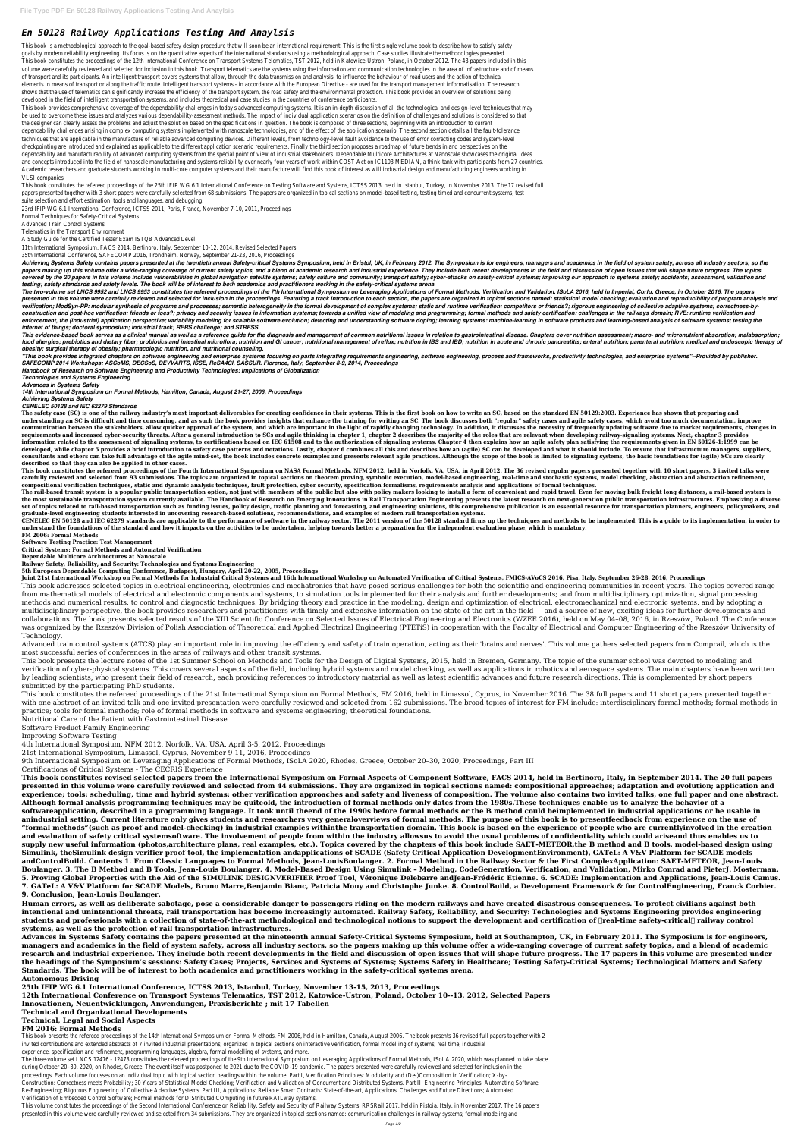## *En 50128 Railway Applications Testing And Anaylsis*

This book is a methodological approach to the goal-based safety design procedure that will soon be an international requirement. This is the first single volume book to describe how to satisfy safety goals by modern reliability engineering. Its focus is on the quantitative aspects of the international standards using a methodological approach. Case studies illustrate the methodologies presented This book constitutes the proceedings of the 12th International Conference on Transport Systems Telematics, TST 2012, held in Katowice-Ustron, Poland, in October 2012. The 48 papers included in this volume were carefully reviewed and selected for inclusion in this book. Transport telematics are the systems using the information and communication technologies in the area of infrastructure and of means of transport and its participants. An intelligent transport covers systems that allow, through the data transmission and analysis, to influence the behaviour of road users and the action of technical elements in means of transport or along the traffic route. Intelligent transport systems - in accordance with the European Directive - are used for the transport management informatisation. The researc shows that the use of telematics can significantly increase the efficiency of the transport system, the road safety and the environmental protection. This book provides an overview of solutions bein developed in the field of intelligent transportation systems, and includes theoretical and case studies in the countries of conference participants.

This book constitutes the refereed proceedings of the 25th IFIP WG 6.1 International Conference on Testing Software and Systems, ICTSS 2013, held in Istanbul, Turkey, in November 2013. The 17 revised full papers presented together with 3 short papers were carefully selected from 68 submissions. The papers are organized in topical sections on model-based testing, testing timed and concurrent systems, test suite selection and effort estimation, tools and languages, and debugging.

This book provides comprehensive coverage of the dependability challenges in today's advanced computing systems. It is an in-depth discussion of all the technological and design-level techniques that may be used to overcome these issues and analyzes various dependability-assessment methods. The impact of individual application scenarios on the definition of challenges and solutions is considered so that the designer can clearly assess the problems and adjust the solution based on the specifications in question. The book is composed of three sections, beginning with an introduction to current dependability challenges arising in complex computing systems implemented with nanoscale technologies, and of the effect of the application scenario. The second section details all the fault-tolerance techniques that are applicable in the manufacture of reliable advanced computing devices. Different levels, from technology-level fault avoidance to the use of error correcting codes and system-level checkpointing are introduced and explained as applicable to the different application scenario requirements. Finally the third section proposes a roadmap of future trends in and perspectives on the dependability and manufacturability of advanced computing systems from the special point of view of industrial stakeholders. Dependable Multicore Architectures at Nanoscale showcases the original ideas and concepts introduced into the field of nanoscale manufacturing and systems reliability over nearly four years of work within COST Action IC1103 MEDIAN, a think-tank with participants from 27 countrie Academic researchers and graduate students working in multi-core computer systems and their manufacture will find this book of interest as will industrial design and manufacturing engineers working in VLSI companies.

Achieving Systems Safety contains papers presented at the twentieth annual Safety-critical Systems Symposium, held in Bristol, UK, in February 2012. The Symposium is for engineers, managers and academics in the field of sy papers making up this volume offer a wide-ranging coverage of current safety topics, and a blend of academic research and industrial experience. They include both recent developments in the field and discussion of open iss covered by the 20 papers in this volume include vulnerabilities in global navigation satellite systems; safety culture and community; transport safety; cyber-attacks on safety-critical systems; improving our approach to sy *testing; safety standards and safety levels. The book will be of interest to both academics and practitioners working in the safety-critical systems arena.*

The two-volume set LNCS 9952 and LNCS 9953 constitutes the refereed proceedings of the 7th International Symposium on Leveraging Applications of Formal Methods, Verification and Validation, ISoLA 2016, held in Imperial, Co presented in this volume were carefully reviewed and selected for inclusion in the proceedings. Featuring a track introduction to each section, the papers are organized in topical sections named: statistical model checking verification; ModSyn-PP: modular synthesis of programs and processes; semantic heterogeneity in the formal development of complex systems; static and runtime verification: competitors or friends?; rigorous engineering of c construction and post-hoc verification: friends or foes?; privacy and security issues in information systems; towards a unified view of modeling and programming; formal methods and safety certification: challenges in the r enforcement, the (industrial) application perspective; variability modeling for scalable software evolution; detecting and understanding software doping; learning systems: machine-learning in software products and learning *internet of things; doctoral symposium; industrial track; RERS challenge; and STRESS.*

This evidence-based book serves as a clinical manual as well as a reference guide for the diagnosis and management of common nutritional issues in relation to gastrointestinal disease. Chapters cover nutrition assessment; food allergies; prebiotics and dietary fiber; probiotics and intestinal microflora; nutrition and GI cancer; nutritional management of reflux; nutrition in acute and chronic pancreatitis; enteral nutrition; parenteral nutr *obesity; surgical therapy of obesity; pharmacologic nutrition, and nutritional counseling.*

"This book provides integrated chapters on software engineering and enterprise systems focusing on parts integrating requirements engineering, software engineering, process and frameworks, productivity technologies, and en *SAFECOMP 2014 Workshops: ASCoMS, DECSoS, DEVVARTS, ISSE, ReSA4CI, SASSUR. Florence, Italy, September 8-9, 2014, Proceedings*

23rd IFIP WG 6.1 International Conference, ICTSS 2011, Paris, France, November 7-10, 2011, Proceedings

Formal Techniques for Safety-Critical Systems

Advanced Train Control Systems

Telematics in the Transport Environment

A Study Guide for the Certified Tester Exam ISTQB Advanced Level

11th International Symposium, FACS 2014, Bertinoro, Italy, September 10-12, 2014, Revised Selected Papers

35th International Conference, SAFECOMP 2016, Trondheim, Norway, September 21-23, 2016, Proceedings

*Handbook of Research on Software Engineering and Productivity Technologies: Implications of Globalization*

*Technologies and Systems Engineering*

*Advances in Systems Safety*

*14th International Symposium on Formal Methods, Hamilton, Canada, August 21-27, 2006, Proceedings*

*Achieving Systems Safety*

*CENELEC 50128 and IEC 62279 Standards*

The safety case (SC) is one of the railway industry's most important deliverables for creating confidence in their systems. This is the first book on how to write an SC, based on the standard EN 50129:2003. Experience has understanding an SC is difficult and time consuming, and as such the book provides insights that enhance the training for writing an SC. The book discusses both "regular" safety cases and agile safety cases, which avoid to communication between the stakeholders, allow quicker approval of the system, and which are important in the light of rapidly changing technology. In addition, it discusses the necessity of frequently updating software due requirements and increased cyber-security threats. After a general introduction to SCs and agile thinking in chapter 1, chapter 2 describes the majority of the roles that are relevant when developing railway-signaling syst information related to the assessment of signaling systems, to certifications based on IEC 61508 and to the authorization of signaling systems. Chapter 4 then explains how an agile safety plan satisfying the requirements g developed, while chapter 5 provides a brief introduction to safety case patterns and notations. Lastly, chapter 6 combines all this and describes how an (agile) SC can be developed and what it should include. To ensure tha consultants and others can take full advantage of the agile mind-set, the book includes concrete examples and presents relevant agile practices. Although the scope of the book is limited to signaling systems, the basic fou **described so that they can also be applied in other cases.** This book constitutes the refereed proceedings of the Fourth International Symposium on NASA Formal Methods, NFM 2012, held in Norfolk, VA, USA, in April 2012. The 36 revised regular papers presented together with 10 short carefully reviewed and selected from 93 submissions. The topics are organized in topical sections on theorem proving, symbolic execution, model-based engineering, real-time and stochastic systems, model checking, abstracti **compositional verification techniques, static and dynamic analysis techniques, fault protection, cyber security, specification formalisms, requirements analysis and applications of formal techniques.** The rail-based transit system is a popular public transportation option, not just with members of the public but also with policy makers looking to install a form of convenient and rapid travel. Even for moving bulk freigh the most sustainable transportation system currently available. The Handbook of Research on Emerging Innovations in Rail Transportation Engineering presents the latest research on next-generation public transportation infr set of topics related to rail-based transportation such as funding issues, policy design, traffic planning and forecasting, and engineering solutions, this comprehensive publication is an essential resource for transportat **graduate-level engineering students interested in uncovering research-based solutions, recommendations, and examples of modern rail transportation systems.** CENELEC EN 50128 and IEC 62279 standards are applicable to the performance of software in the railway sector. The 2011 version of the 50128 standard firms up the techniques and methods to be implemented. This is a guide to **understand the foundations of the standard and how it impacts on the activities to be undertaken, helping towards better a preparation for the independent evaluation phase, which is mandatory. FM 2006: Formal Methods Software Testing Practice: Test Management Critical Systems: Formal Methods and Automated Verification Dependable Multicore Architectures at Nanoscale Railway Safety, Reliability, and Security: Technologies and Systems Engineering 5th European Dependable Computing Conference, Budapest, Hungary, April 20-22, 2005, Proceedings** Joint 21st International Workshop on Formal Methods for Industrial Critical Systems and 16th International Workshop on Automated Verification of Critical Systems, FMICS-AVoCS 2016, Pisa, Italy, September 26-28, 2016, Proce This book addresses selected topics in electrical engineering, electronics and mechatronics that have posed serious challenges for both the scientific and engineering communities in recent years. The topics covered range from mathematical models of electrical and electronic components and systems, to simulation tools implemented for their analysis and further developments; and from multidisciplinary optimization, signal processing methods and numerical results, to control and diagnostic techniques. By bridging theory and practice in the modeling, design and optimization of electrical, electromechanical and electronic systems, and by adopting a multidisciplinary perspective, the book provides researchers and practitioners with timely and extensive information on the state of the art in the field — and a source of new, exciting ideas for further developments and collaborations. The book presents selected results of the XIII Scientific Conference on Selected Issues of Electrical Engineering and Electronics (WZEE 2016), held on May 04–08, 2016, in Rzeszów, Poland. The Conference was organized by the Rzeszów Division of Polish Association of Theoretical and Applied Electrical Engineering (PTETiS) in cooperation with the Faculty of Electrical and Computer Engineering of the Rzeszów University of Technology. Advanced train control systems (ATCS) play an important role in improving the efficiency and safety of train operation, acting as their 'brains and nerves'. This volume gathers selected papers from Comprail, which is the most successful series of conferences in the areas of railways and other transit systems. This book presents the lecture notes of the 1st Summer School on Methods and Tools for the Design of Digital Systems, 2015, held in Bremen, Germany. The topic of the summer school was devoted to modeling and verification of cyber-physical systems. This covers several aspects of the field, including hybrid systems and model checking, as well as applications in robotics and aerospace systems. The main chapters have been written by leading scientists, who present their field of research, each providing references to introductory material as well as latest scientific advances and future research directions. This is complemented by short papers submitted by the participating PhD students. This book constitutes the refereed proceedings of the 21st International Symposium on Formal Methods, FM 2016, held in Limassol, Cyprus, in November 2016. The 38 full papers and 11 short papers presented together with one abstract of an invited talk and one invited presentation were carefully reviewed and selected from 162 submissions. The broad topics of interest for FM include: interdisciplinary formal methods; formal methods in practice; tools for formal methods; role of formal methods in software and systems engineering; theoretical foundations. Nutritional Care of the Patient with Gastrointestinal Disease Software Product-Family Engineering Improving Software Testing 4th International Symposium, NFM 2012, Norfolk, VA, USA, April 3-5, 2012, Proceedings 21st International Symposium, Limassol, Cyprus, November 9-11, 2016, Proceedings 9th International Symposium on Leveraging Applications of Formal Methods, ISoLA 2020, Rhodes, Greece, October 20–30, 2020, Proceedings, Part III Certifications of Critical Systems - The CECRIS Experience **This book constitutes revised selected papers from the International Symposium on Formal Aspects of Component Software, FACS 2014, held in Bertinoro, Italy, in September 2014. The 20 full papers presented in this volume were carefully reviewed and selected from 44 submissions. They are organized in topical sections named: compositional approaches; adaptation and evolution; application and experience; tools; scheduling, time and hybrid systems; other verification approaches and safety and liveness of composition. The volume also contains two invited talks, one full paper and one abstract. Although formal analysis programming techniques may be quiteold, the introduction of formal methods only dates from the 1980s.These techniques enable us to analyze the behavior of a softwareapplication, described in a programming language. It took until theend of the 1990s before formal methods or the B method could beimplemented in industrial applications or be usable in anindustrial setting. Current literature only gives students and researchers very generaloverviews of formal methods. The purpose of this book is to presentfeedback from experience on the use of "formal methods"(such as proof and model-checking) in industrial examples withinthe transportation domain. This book is based on the experience of people who are currentlyinvolved in the creation and evaluation of safety critical systemsoftware. The involvement of people from within the industry allowsus to avoid the usual problems of confidentiality which could ariseand thus enables us to supply new useful information (photos,architecture plans, real examples, etc.). Topics covered by the chapters of this book include SAET-METEOR,the B method and B tools, model-based design using Simulink, theSimulink design verifier proof tool, the implementation andapplications of SCADE (Safety Critical Application DevelopmentEnvironment), GATeL: A V&V Platform for SCADE models andControlBuild. Contents 1. From Classic Languages to Formal Methods, Jean-LouisBoulanger. 2. Formal Method in the Railway Sector & the First ComplexApplication: SAET-METEOR, Jean-Louis Boulanger. 3. The B Method and B Tools, Jean-Louis Boulanger. 4. Model-Based Design Using Simulink – Modeling, CodeGeneration, Verification, and Validation, Mirko Conrad and PieterJ. Mosterman. 5. Proving Global Properties with the Aid of the SIMULINK DESIGNVERIFIER Proof Tool, Véronique Delebarre andJean-Frédéric Etienne. 6. SCADE: Implementation and Applications, Jean-Louis Camus. 7. GATeL: A V&V Platform for SCADE Models, Bruno Marre,Benjamin Bianc, Patricia Mouy and Christophe Junke. 8. ControlBuild, a Development Framework & for ControlEngineering, Franck Corbier. 9. Conclusion, Jean-Louis Boulanger. Human errors, as well as deliberate sabotage, pose a considerable danger to passengers riding on the modern railways and have created disastrous consequences. To protect civilians against both intentional and unintentional threats, rail transportation has become increasingly automated. Railway Safety, Reliability, and Security: Technologies and Systems Engineering provides engineering** students and professionals with a collection of state-of-the-art methodological and technological notions to support the development and certification of **Treal-time safety-critical** railway control **systems, as well as the protection of rail transportation infrastructures. Advances in Systems Safety contains the papers presented at the nineteenth annual Safety-Critical Systems Symposium, held at Southampton, UK, in February 2011. The Symposium is for engineers, managers and academics in the field of system safety, across all industry sectors, so the papers making up this volume offer a wide-ranging coverage of current safety topics, and a blend of academic research and industrial experience. They include both recent developments in the field and discussion of open issues that will shape future progress. The 17 papers in this volume are presented under the headings of the Symposium's sessions: Safety Cases; Projects, Services and Systems of Systems; Systems Safety in Healthcare; Testing Safety-Critical Systems; Technological Matters and Safety Standards. The book will be of interest to both academics and practitioners working in the safety-critical systems arena. Autonomous Driving 25th IFIP WG 6.1 International Conference, ICTSS 2013, Istanbul, Turkey, November 13-15, 2013, Proceedings 12th International Conference on Transport Systems Telematics, TST 2012, Katowice-Ustron, Poland, October 10--13, 2012, Selected Papers Innovationen, Neuentwicklungen, Anwendungen, Praxisberichte ; mit 17 Tabellen**

This volume constitutes the proceedings of the Second International Conference on Reliability, Safety and Security of Railway Systems, RRSRail 2017, held in Pistoia, Italy, in November 2017. The 16 papers presented in this volume were carefully reviewed and selected from 34 submissions. They are organized in topical sections named: communication challenges in railway systems; formal modeling and

**Technical and Organizational Developments**

**Technical, Legal and Social Aspects**

**FM 2016: Formal Methods**

This book presents the refereed proceedings of the 14th International Symposium on Formal Methods, FM 2006, held in Hamilton, Canada, August 2006. The book presents 36 revised full papers together with 2 invited contributions and extended abstracts of 7 invited industrial presentations, organized in topical sections on interactive verification, formal modelling of systems, real time, industrial experience, specification and refinement, programming languages, algebra, formal modelling of systems, and more.

The three-volume set LNCS 12476 - 12478 constitutes the refereed proceedings of the 9th International Symposium on Leveraging Applications of Formal Methods, ISoLA 2020, which was planned to take place during October 20-30, 2020, on Rhodes, Greece. The event itself was postponed to 2021 due to the COVID-19 pandemic. The papers presented were carefully reviewed and selected for inclusion in the proceedings. Each volume focusses on an individual topic with topical section headings within the volume: Part I, Verification Principles: Modularity and (De-)Composition in Verification; X-by-Construction: Correctness meets Probability; 30 Years of Statistical Model Checking; Verification and Validation of Concurrent and Distributed Systems. Part II, Engineering Principles: Automating Software Re-Engineering; Rigorous Engineering of Collective Adaptive Systems. Part III, Applications: Reliable Smart Contracts: State-of-the-art, Applications, Challenges and Future Directions; Automated Verification of Embedded Control Software; Formal methods for DIStributed COmputing in future RAILway systems.